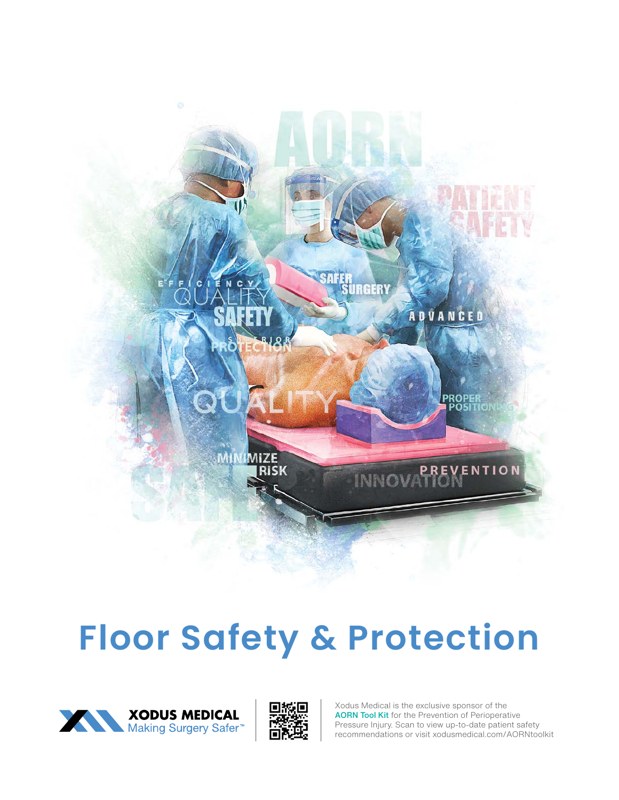

# **Floor Safety & Protection**

![](_page_0_Picture_2.jpeg)

![](_page_0_Picture_3.jpeg)

Xodus Medical is the exclusive sponsor of the AORN Tool Kit for the Prevention of Perioperative Pressure Injury. Scan to view up-to-date patient safety recommendations or visit xodusmedical.com/AORNtoolkit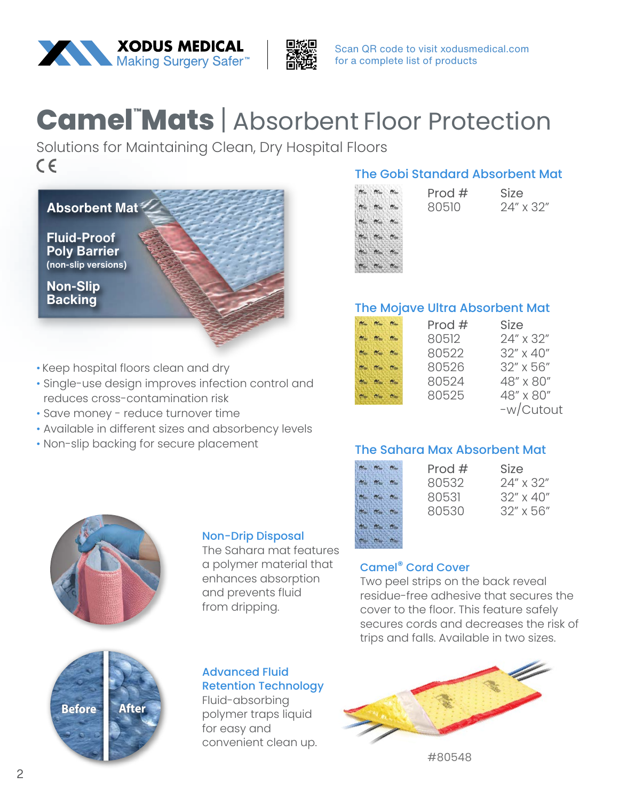![](_page_1_Picture_0.jpeg)

![](_page_1_Picture_1.jpeg)

Scan QR code to visit xodusmedical.com for a complete list of products

### **Camel™ats | Absorbent Floor Protection**

Solutions for Maintaining Clean, Dry Hospital Floors $C \in$ 

![](_page_1_Picture_5.jpeg)

- Keep hospital floors clean and dry
- Single-use design improves infection control and reduces cross-contamination risk
- Save money reduce turnover time
- Available in different sizes and absorbency levels
- Non-slip backing for secure placement

#### The Gobi Standard Absorbent Mat

Prod  $#$ 80510

![](_page_1_Picture_12.jpeg)

| Size |           |
|------|-----------|
|      | 24" x 32" |

#### The Mojave Ultra Absorbent Mat

|                                                                                                                                                                                                                                                                                 | Prod $#$ | <b>Size</b> |
|---------------------------------------------------------------------------------------------------------------------------------------------------------------------------------------------------------------------------------------------------------------------------------|----------|-------------|
| $\mathsf{f} \mathsf{f}^{\mathsf{f}}_{\mathsf{f}} \mathsf{f}^{\mathsf{f}}_{\mathsf{f}} \mathsf{f}^{\mathsf{f}}_{\mathsf{f}} \mathsf{f}^{\mathsf{f}}_{\mathsf{f}} \mathsf{f}^{\mathsf{f}}_{\mathsf{f}} \mathsf{f}^{\mathsf{f}}_{\mathsf{f}} \mathsf{f}^{\mathsf{f}}_{\mathsf{f}}$ | 80512    | 24" x 32"   |
| $R_{\text{max}}$ $R_{\text{max}}$ $R_{\text{max}}$                                                                                                                                                                                                                              | 80522    | 32" x 40"   |
|                                                                                                                                                                                                                                                                                 | 80526    | 32" x 56"   |
|                                                                                                                                                                                                                                                                                 | 80524    | 48" x 80"   |
|                                                                                                                                                                                                                                                                                 | 80525    | 48" x 80"   |
|                                                                                                                                                                                                                                                                                 |          | -w/Cutout   |

#### The Sahara Max Absorbent Mat

| h<br>as<br>и<br>ki di<br>ю<br>n.<br>٠<br>e. | c |  |
|---------------------------------------------|---|--|
|                                             |   |  |
|                                             |   |  |
|                                             |   |  |
|                                             |   |  |
|                                             |   |  |

| Prod $#$ | Size               |
|----------|--------------------|
| 80532    | $24'' \times 32''$ |
| 80531    | $32'' \times 40''$ |
| 80530    | $32''$ x 56"       |
|          |                    |

| Size      |           |
|-----------|-----------|
| 24″ x 32″ |           |
|           | 32" x 40" |
|           | 32″ x 56″ |

#### Camel® Cord Cover

Two peel strips on the back reveal residue-free adhesive that secures the cover to the floor. This feature safely secures cords and decreases the risk of trips and falls. Available in two sizes.

![](_page_1_Figure_22.jpeg)

#80548

![](_page_1_Picture_24.jpeg)

![](_page_1_Picture_25.jpeg)

#### Non-Drip Disposal

The Sahara mat features a polymer material that enhances absorption and prevents fluid from dripping.

#### Advanced Fluid Retention Technology

Fluid-absorbing polymer traps liquid for easy and convenient clean up.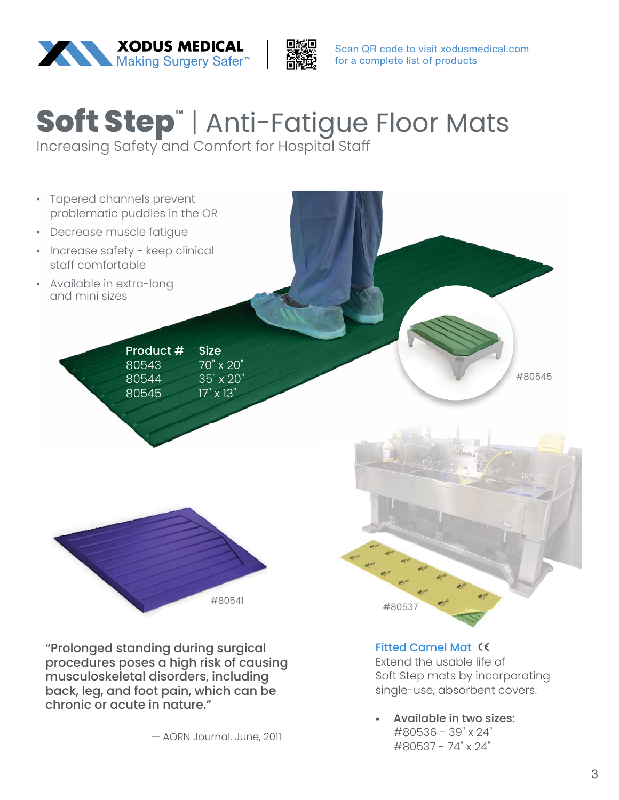![](_page_2_Picture_0.jpeg)

![](_page_2_Picture_1.jpeg)

Scan QR code to visit xodusmedical.com for a complete list of products

# **Soft Step™** | Anti-Fatigue Floor Mats

Increasing Safety and Comfort for Hospital Staff

![](_page_2_Picture_5.jpeg)

"Prolonged standing during surgical procedures poses a high risk of causing musculoskeletal disorders, including back, leg, and foot pain, which can be chronic or acute in nature."

— AORN Journal. June, 2011

#### Fitted Camel Mat

Extend the usable life of Soft Step mats by incorporating single-use, absorbent covers.

• Available in two sizes: #80536 - 39" x 24" #80537 - 74" x 24"